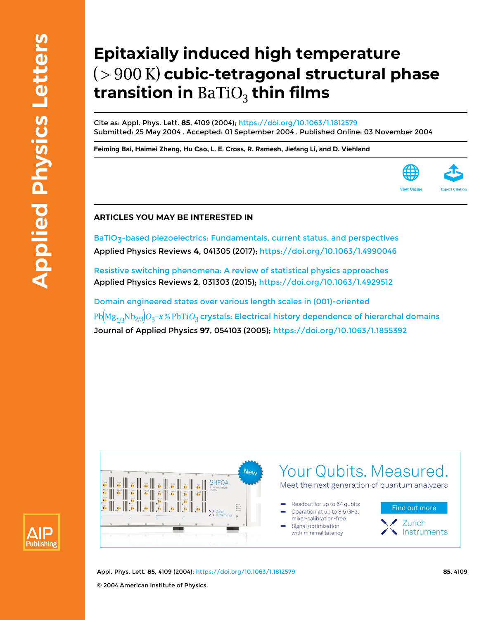## **Epitaxially induced high temperature cubic-tetragonal structural phase transition in BaTiO<sub>3</sub> thin films**

Cite as: Appl. Phys. Lett. **85**, 4109 (2004); <https://doi.org/10.1063/1.1812579> Submitted: 25 May 2004 . Accepted: 01 September 2004 . Published Online: 03 November 2004

**[Feiming Bai](https://aip.scitation.org/author/Bai%2C+Feiming), [Haimei Zheng,](https://aip.scitation.org/author/Zheng%2C+Haimei) [Hu Cao,](https://aip.scitation.org/author/Cao%2C+Hu) [L. E. Cross,](https://aip.scitation.org/author/Cross%2C+L+E) [R. Ramesh,](https://aip.scitation.org/author/Ramesh%2C+R) [Jiefang Li](https://aip.scitation.org/author/Li%2C+Jiefang), and [D. Viehland](https://aip.scitation.org/author/Viehland%2C+D)**



## **ARTICLES YOU MAY BE INTERESTED IN**

BaTiO<sub>3</sub>-based piezoelectrics: Fundamentals, current status, and perspectives Applied Physics Reviews **4**, 041305 (2017);<https://doi.org/10.1063/1.4990046>

[Resistive switching phenomena: A review of statistical physics approaches](https://aip.scitation.org/doi/10.1063/1.4929512) Applied Physics Reviews **2**, 031303 (2015);<https://doi.org/10.1063/1.4929512>

[Domain engineered states over various length scales in \(001\)-oriented](https://aip.scitation.org/doi/10.1063/1.1855392)  $Pb[Mg_{1/3}Nb_{2/3}]O_3$ –x% $PbTiO_3$  [crystals: Electrical history dependence of hierarchal domains](https://aip.scitation.org/doi/10.1063/1.1855392) Journal of Applied Physics **97**, 054103 (2005);<https://doi.org/10.1063/1.1855392>





Appl. Phys. Lett. **85**, 4109 (2004); <https://doi.org/10.1063/1.1812579> **85**, 4109 © 2004 American Institute of Physics.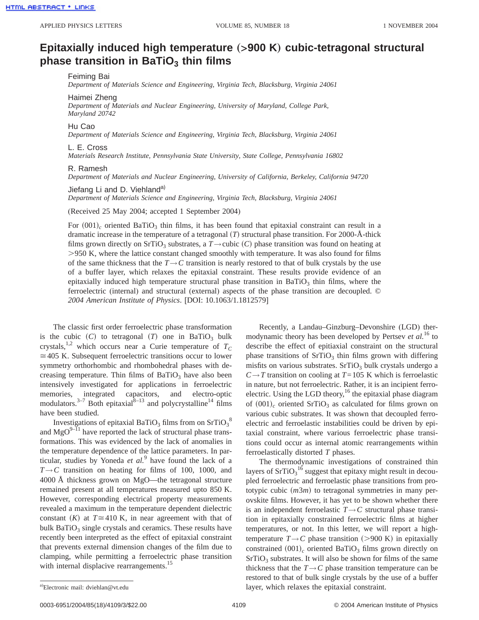## **Epitaxially induced high temperature** (>900 K) cubic-tetragonal structural **phase transition in BaTiO<sub>3</sub> thin films**

Feiming Bai

*Department of Materials Science and Engineering, Virginia Tech, Blacksburg, Virginia 24061*

Haimei Zheng

*Department of Materials and Nuclear Engineering, University of Maryland, College Park, Maryland 20742*

Hu Cao

*Department of Materials Science and Engineering, Virginia Tech, Blacksburg, Virginia 24061*

L. E. Cross

*Materials Research Institute, Pennsylvania State University, State College, Pennsylvania 16802*

## R. Ramesh

*Department of Materials and Nuclear Engineering, University of California, Berkeley, California 94720*

Jiefang Li and D. Viehland<sup>a)</sup>

*Department of Materials Science and Engineering, Virginia Tech, Blacksburg, Virginia 24061*

(Received 25 May 2004; accepted 1 September 2004)

For  $(001)_c$  oriented BaTiO<sub>3</sub> thin films, it has been found that epitaxial constraint can result in a dramatic increase in the temperature of a tetragonal  $(T)$  structural phase transition. For 2000-Å-thick films grown directly on SrTiO<sub>3</sub> substrates, a  $T \rightarrow$ cubic  $(C)$  phase transition was found on heating at .950 K, where the lattice constant changed smoothly with temperature. It was also found for films of the same thickness that the  $T \rightarrow C$  transition is nearly restored to that of bulk crystals by the use of a buffer layer, which relaxes the epitaxial constraint. These results provide evidence of an epitaxially induced high temperature structural phase transition in BaTiO<sub>3</sub> thin films, where the ferroelectric (internal) and structural (external) aspects of the phase transition are decoupled. © *2004 American Institute of Physics*. [DOI: 10.1063/1.1812579]

The classic first order ferroelectric phase transformation is the cubic  $(C)$  to tetragonal  $(T)$  one in BaTiO<sub>3</sub> bulk crystals,<sup>1,2</sup> which occurs near a Curie temperature of  $T_C$  $\approx$  405 K. Subsequent ferroelectric transitions occur to lower symmetry orthorhombic and rhombohedral phases with decreasing temperature. Thin films of  $BaTiO<sub>3</sub>$  have also been intensively investigated for applications in ferroelectric memories, integrated capacitors, and electro-optic modulators.<sup>3–7</sup> Both epitaxial<sup>8–13</sup> and polycrystalline<sup>14</sup> films have been studied.

Investigations of epitaxial BaTiO<sub>3</sub> films from on SrTiO<sub>3</sub><sup>8</sup> and  $\text{MgO}^{9-11}$  have reported the lack of structural phase transformations. This was evidenced by the lack of anomalies in the temperature dependence of the lattice parameters. In particular, studies by Yoneda *et al.*<sup>9</sup> have found the lack of a  $T \rightarrow C$  transition on heating for films of 100, 1000, and 4000 Å thickness grown on MgO—the tetragonal structure remained present at all temperatures measured upto 850 K. However, corresponding electrical property measurements revealed a maximum in the temperature dependent dielectric constant  $(K)$  at  $T \approx 410$  K, in near agreement with that of bulk  $BaTiO<sub>3</sub>$  single crystals and ceramics. These results have recently been interpreted as the effect of epitaxial constraint that prevents external dimension changes of the film due to clamping, while permitting a ferroelectric phase transition with internal displacive rearrangements.<sup>15</sup>

Recently, a Landau–Ginzburg–Devonshire (LGD) thermodynamic theory has been developed by Pertsev *et al.*<sup>16</sup> to describe the effect of epitiaxial constraint on the structural phase transitions of  $SrTiO<sub>3</sub>$  thin films grown with differing misfits on various substrates.  $SrTiO<sub>3</sub>$  bulk crystals undergo a  $C \rightarrow T$  transition on cooling at  $T=105$  K which is ferroelastic in nature, but not ferroelectric. Rather, it is an incipient ferroelectric. Using the LGD theory,<sup>16</sup> the epitaxial phase diagram of  $(001)<sub>c</sub>$  oriented SrTiO<sub>3</sub> as calculated for films grown on various cubic substrates. It was shown that decoupled ferroelectric and ferroelastic instabilities could be driven by epitaxial constraint, where various ferroelectric phase transitions could occur as internal atomic rearrangements within ferroelastically distorted *T* phases.

The thermodynamic investigations of constrained thin layers of  $SrTiO<sub>3</sub><sup>16</sup>$  suggest that epitaxy might result in decoupled ferroelectric and ferroelastic phase transitions from prototypic cubic (*m3m*) to tetragonal symmetries in many perovskite films. However, it has yet to be shown whether there is an independent ferroelastic  $T \rightarrow C$  structural phase transition in epitaxially constrained ferroelectric films at higher temperatures, or not. In this letter, we will report a hightemperature  $T \rightarrow C$  phase transition (>900 K) in epitaxially constrained  $(001)<sub>c</sub>$  oriented BaTiO<sub>3</sub> films grown directly on  $SrTiO<sub>3</sub>$  substrates. It will also be shown for films of the same thickness that the  $T \rightarrow C$  phase transition temperature can be restored to that of bulk single crystals by the use of a buffer layer, which relaxes the epitaxial constraint.

a)Electronic mail: dviehlan@vt.edu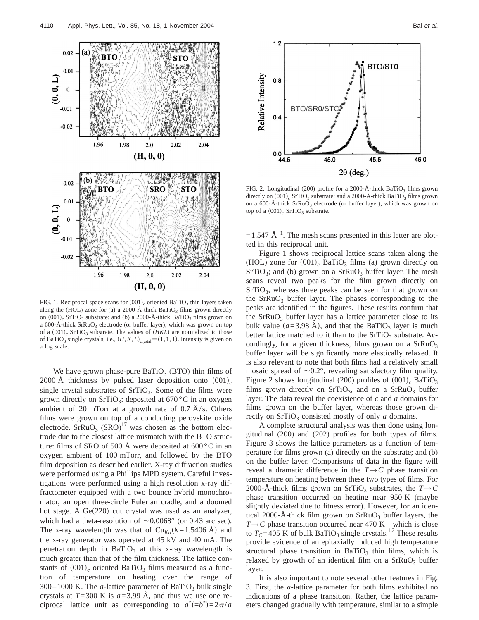

FIG. 1. Reciprocal space scans for  $(001)<sub>c</sub>$  oriented BaTiO<sub>3</sub> thin layers taken along the (HOL) zone for (a) a 2000-Å-thick BaTiO<sub>3</sub> films grown directly on  $(001)<sub>c</sub>$  SrTiO<sub>3</sub> substrate; and (b) a 2000-Å-thick BaTiO<sub>3</sub> films grown on a 600-Å-thick  $SFRuO<sub>3</sub>$  electrode (or buffer layer), which was grown on top of a  $(001)<sub>c</sub>$  SrTiO<sub>3</sub> substrate. The values of  $(HKL)$  are normalized to those of BaTiO<sub>3</sub> single crystals, i.e.,  $(H, K, L)_{\text{crystal}} \equiv (1, 1, 1)$ . Intensity is given on a log scale.

We have grown phase-pure  $BaTiO<sub>3</sub>$  (BTO) thin films of 2000 Å thickness by pulsed laser deposition onto  $(001)<sub>c</sub>$ single crystal substrates of  $SrTiO<sub>3</sub>$ . Some of the films were grown directly on SrTiO<sub>3</sub>: deposited at  $670^{\circ}$ C in an oxygen ambient of 20 mTorr at a growth rate of  $0.7 \text{ Å/s}$ . Others films were grown on top of a conducting perovskite oxide electrode.  $SFRuO<sub>3</sub> (SRO)<sup>17</sup>$  was chosen as the bottom electrode due to the closest lattice mismatch with the BTO structure: films of SRO of 500 Å were deposited at  $600^{\circ}$ C in an oxygen ambient of 100 mTorr, and followed by the BTO film deposition as described earlier. X-ray diffraction studies were performed using a Phillips MPD system. Careful investigations were performed using a high resolution x-ray diffractometer equipped with a two bounce hybrid monochromator, an open three-circle Eulerian cradle, and a doomed hot stage. A  $Ge(220)$  cut crystal was used as an analyzer, which had a theta-resolution of  $\sim 0.0068$ ° (or 0.43 arc sec). The x-ray wavelength was that of  $Cu_{K_{\alpha}}(\lambda=1.5406 \text{ Å})$  and the x-ray generator was operated at 45 kV and 40 mA. The penetration depth in  $BaTiO<sub>3</sub>$  at this x-ray wavelength is much greater than that of the film thickness. The lattice constants of  $(001)$ <sub>c</sub> oriented BaTiO<sub>3</sub> films measured as a function of temperature on heating over the range of  $300-1000$  K. The *a*-lattice parameter of BaTiO<sub>3</sub> bulk single crystals at  $T=300$  K is  $a=3.99$  Å, and thus we use one reciprocal lattice unit as corresponding to  $a^*(-b^*)=2\pi/a$ 



FIG. 2. Longitudinal (200) profile for a 2000-Å-thick BaTiO<sub>3</sub> films grown directly on  $(001)$ <sub>c</sub> SrTiO<sub>3</sub> substrate; and a 2000-Å-thick BaTiO<sub>3</sub> films grown on a 600-Å-thick  $SrRuO<sub>3</sub>$  electrode (or buffer layer), which was grown on top of a  $(001)<sub>c</sub>$  SrTiO<sub>3</sub> substrate.

 $=1.547 \text{ Å}^{-1}$ . The mesh scans presented in this letter are plotted in this reciprocal unit.

Figure 1 shows reciprocal lattice scans taken along the (HOL) zone for  $(001)<sub>c</sub>$  BaTiO<sub>3</sub> films (a) grown directly on  $SrTiO<sub>3</sub>$ ; and (b) grown on a  $SrRuO<sub>3</sub>$  buffer layer. The mesh scans reveal two peaks for the film grown directly on  $SrTiO<sub>3</sub>$ , whereas three peaks can be seen for that grown on the  $SrRuO<sub>3</sub>$  buffer layer. The phases corresponding to the peaks are identified in the figures. These results confirm that the  $SrRuO<sub>3</sub>$  buffer layer has a lattice parameter close to its bulk value  $(a=3.98 \text{ Å})$ , and that the BaTiO<sub>3</sub> layer is much better lattice matched to it than to the  $SrTiO<sub>3</sub>$  substrate. Accordingly, for a given thickness, films grown on a  $SFRuO<sub>3</sub>$ buffer layer will be significantly more elastically relaxed. It is also relevant to note that both films had a relatively small mosaic spread of  $\sim 0.2^{\circ}$ , revealing satisfactory film quality. Figure 2 shows longitudinal (200) profiles of  $(001)<sub>c</sub>$  BaTiO<sub>3</sub> films grown directly on  $SrTiO<sub>3</sub>$ , and on a  $SrRuO<sub>3</sub>$  buffer layer. The data reveal the coexistence of *c* and *a* domains for films grown on the buffer layer, whereas those grown directly on  $SrTiO<sub>3</sub>$  consisted mostly of only  $a$  domains.

A complete structural analysis was then done using longitudinal (200) and (202) profiles for both types of films. Figure 3 shows the lattice parameters as a function of temperature for films grown (a) directly on the substrate; and (b) on the buffer layer. Comparisons of data in the figure will reveal a dramatic difference in the  $T \rightarrow C$  phase transition temperature on heating between these two types of films. For 2000-Å-thick films grown on SrTiO<sub>3</sub> substrates, the  $T\rightarrow C$ phase transition occurred on heating near 950 K (maybe slightly deviated due to fitness error). However, for an identical 2000-Å-thick film grown on  $SrRuO<sub>3</sub>$  buffer layers, the  $T \rightarrow C$  phase transition occurred near 470 K—which is close to  $T_c$ =405 K of bulk BaTiO<sub>3</sub> single crystals.<sup>1,2</sup> These results provide evidence of an epitaxially induced high temperature structural phase transition in BaTiO<sub>3</sub> thin films, which is relaxed by growth of an identical film on a  $SrRuO<sub>3</sub>$  buffer layer.

It is also important to note several other features in Fig. 3. First, the *a*-lattice parameter for both films exhibited no indications of a phase transition. Rather, the lattice parameters changed gradually with temperature, similar to a simple